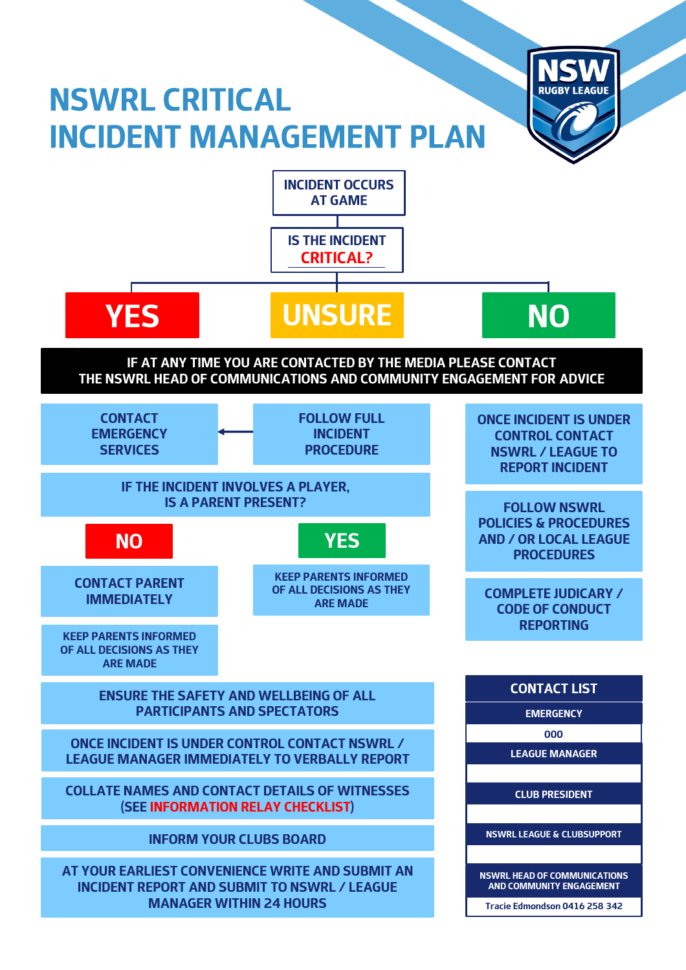# **NSWRL CRITICAL INCIDENT MANAGEMENT PLAN**



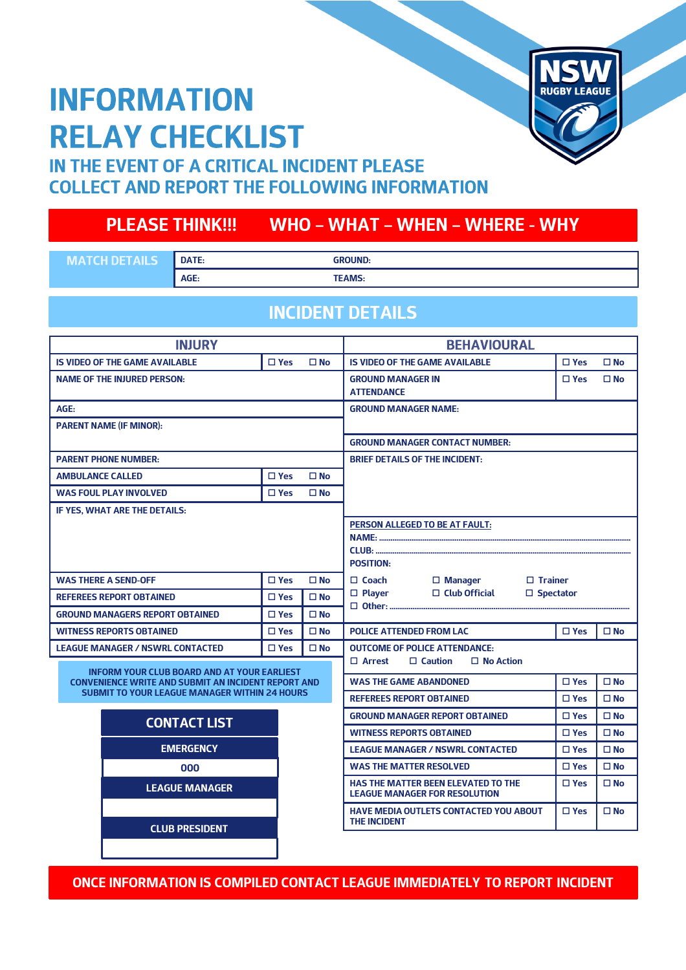## **INFORMATION RELAY CHECKLIST**



### IN THE EVENT OF A CRITICAL INCIDENT PLEASE **COLLECT AND REPORT THE FOLLOWING INFORMATION**

### **PLEASE THINK!!! WHO – WHAT – WHEN – WHERE - WHY**

| <b>MATCH DETAILS</b> | <b>DATE:</b> | <b>GROUND:</b> |
|----------------------|--------------|----------------|
|                      | AGE:         | <b>TEAMS:</b>  |

#### **INCIDENT DETAILS**

| <b>INJURY</b>                                                                                                      |               |                                       | <b>BEHAVIOURAL</b>                                                          |               |              |
|--------------------------------------------------------------------------------------------------------------------|---------------|---------------------------------------|-----------------------------------------------------------------------------|---------------|--------------|
| <b>IS VIDEO OF THE GAME AVAILABLE</b>                                                                              | $\Box$ Yes    | $\square$ No                          | <b>IS VIDEO OF THE GAME AVAILABLE</b>                                       | $\square$ Yes | $\square$ No |
| <b>NAME OF THE INJURED PERSON:</b>                                                                                 |               |                                       | <b>GROUND MANAGER IN</b>                                                    | $\square$ Yes | $\square$ No |
|                                                                                                                    |               |                                       | <b>ATTENDANCE</b>                                                           |               |              |
| AGE:                                                                                                               |               |                                       | <b>GROUND MANAGER NAME:</b>                                                 |               |              |
| <b>PARENT NAME (IF MINOR):</b>                                                                                     |               |                                       |                                                                             |               |              |
|                                                                                                                    |               |                                       | <b>GROUND MANAGER CONTACT NUMBER:</b>                                       |               |              |
| <b>PARENT PHONE NUMBER:</b>                                                                                        |               |                                       | <b>BRIEF DETAILS OF THE INCIDENT:</b>                                       |               |              |
| <b>AMBULANCE CALLED</b>                                                                                            | $\square$ Yes | $\square$ No                          |                                                                             |               |              |
| <b>WAS FOUL PLAY INVOLVED</b>                                                                                      | $\square$ Yes | $\square$ No                          |                                                                             |               |              |
| IF YES, WHAT ARE THE DETAILS:                                                                                      |               |                                       |                                                                             |               |              |
|                                                                                                                    |               | <b>PERSON ALLEGED TO BE AT FAULT:</b> |                                                                             |               |              |
|                                                                                                                    |               |                                       |                                                                             |               |              |
|                                                                                                                    |               |                                       | <b>POSITION:</b>                                                            |               |              |
| <b>WAS THERE A SEND-OFF</b>                                                                                        |               | $\square$ No                          | $\Box$ Coach<br>$\Box$ Manager<br>$\Box$ Trainer                            |               |              |
| <b>REFEREES REPORT OBTAINED</b>                                                                                    | $\Box$ Yes    | $\square$ No                          | $\Box$ Club Official<br>$\Box$ Player<br>$\Box$ Spectator<br>□ Other:       |               |              |
| <b>GROUND MANAGERS REPORT OBTAINED</b>                                                                             | $\Box$ Yes    | $\square$ No                          |                                                                             |               |              |
| <b>WITNESS REPORTS OBTAINED</b>                                                                                    | $\square$ Yes | $\square$ No                          | <b>POLICE ATTENDED FROM LAC</b>                                             | $\square$ Yes | $\square$ No |
| <b>LEAGUE MANAGER / NSWRL CONTACTED</b>                                                                            | $\square$ Yes | $\square$ No                          | <b>OUTCOME OF POLICE ATTENDANCE:</b>                                        |               |              |
| <b>INFORM YOUR CLUB BOARD AND AT YOUR EARLIEST</b>                                                                 |               |                                       | $\Box$ Arrest<br>$\Box$ Caution<br>$\Box$ No Action                         |               |              |
| <b>CONVENIENCE WRITE AND SUBMIT AN INCIDENT REPORT AND</b><br><b>SUBMIT TO YOUR LEAGUE MANAGER WITHIN 24 HOURS</b> |               |                                       | <b>WAS THE GAME ABANDONED</b>                                               | $\square$ Yes | $\square$ No |
|                                                                                                                    |               |                                       | <b>REFEREES REPORT OBTAINED</b>                                             | $\square$ Yes | $\Box$ No    |
| <b>CONTACT LIST</b>                                                                                                |               |                                       | <b>GROUND MANAGER REPORT OBTAINED</b>                                       | $\square$ Yes | $\Box$ No    |
|                                                                                                                    |               |                                       | <b>WITNESS REPORTS OBTAINED</b>                                             | $\square$ Yes | $\square$ No |
| <b>EMERGENCY</b>                                                                                                   |               |                                       | <b>LEAGUE MANAGER / NSWRL CONTACTED</b>                                     | $\Box$ Yes    | $\square$ No |
| 000                                                                                                                |               |                                       | <b>WAS THE MATTER RESOLVED</b>                                              | $\Box$ Yes    | $\square$ No |
| <b>LEAGUE MANAGER</b>                                                                                              |               |                                       | HAS THE MATTER BEEN ELEVATED TO THE<br><b>LEAGUE MANAGER FOR RESOLUTION</b> | $\square$ Yes | $\square$ No |
|                                                                                                                    |               |                                       | <b>HAVE MEDIA OUTLETS CONTACTED YOU ABOUT</b><br><b>THE INCIDENT</b>        | $\Box$ Yes    | $\square$ No |
| <b>CLUB PRESIDENT</b>                                                                                              |               |                                       |                                                                             |               |              |

**ONCE INFORMATION IS COMPILED CONTACT LEAGUE IMMEDIATELY TO REPORT INCIDENT**